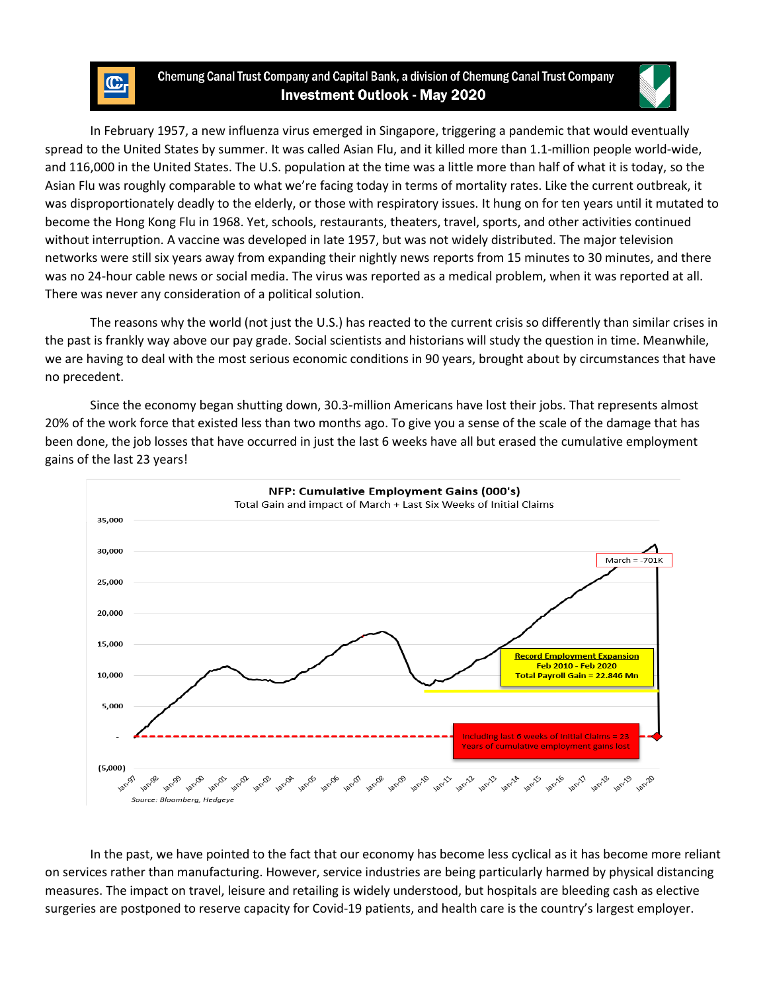## Chemung Canal Trust Company and Capital Bank, a division of Chemung Canal Trust Company **Investment Outlook - May 2020**



In February 1957, a new influenza virus emerged in Singapore, triggering a pandemic that would eventually spread to the United States by summer. It was called Asian Flu, and it killed more than 1.1-million people world-wide, and 116,000 in the United States. The U.S. population at the time was a little more than half of what it is today, so the Asian Flu was roughly comparable to what we're facing today in terms of mortality rates. Like the current outbreak, it was disproportionately deadly to the elderly, or those with respiratory issues. It hung on for ten years until it mutated to become the Hong Kong Flu in 1968. Yet, schools, restaurants, theaters, travel, sports, and other activities continued without interruption. A vaccine was developed in late 1957, but was not widely distributed. The major television networks were still six years away from expanding their nightly news reports from 15 minutes to 30 minutes, and there was no 24-hour cable news or social media. The virus was reported as a medical problem, when it was reported at all. There was never any consideration of a political solution.

The reasons why the world (not just the U.S.) has reacted to the current crisis so differently than similar crises in the past is frankly way above our pay grade. Social scientists and historians will study the question in time. Meanwhile, we are having to deal with the most serious economic conditions in 90 years, brought about by circumstances that have no precedent.

Since the economy began shutting down, 30.3-million Americans have lost their jobs. That represents almost 20% of the work force that existed less than two months ago. To give you a sense of the scale of the damage that has been done, the job losses that have occurred in just the last 6 weeks have all but erased the cumulative employment gains of the last 23 years!



In the past, we have pointed to the fact that our economy has become less cyclical as it has become more reliant on services rather than manufacturing. However, service industries are being particularly harmed by physical distancing measures. The impact on travel, leisure and retailing is widely understood, but hospitals are bleeding cash as elective surgeries are postponed to reserve capacity for Covid-19 patients, and health care is the country's largest employer.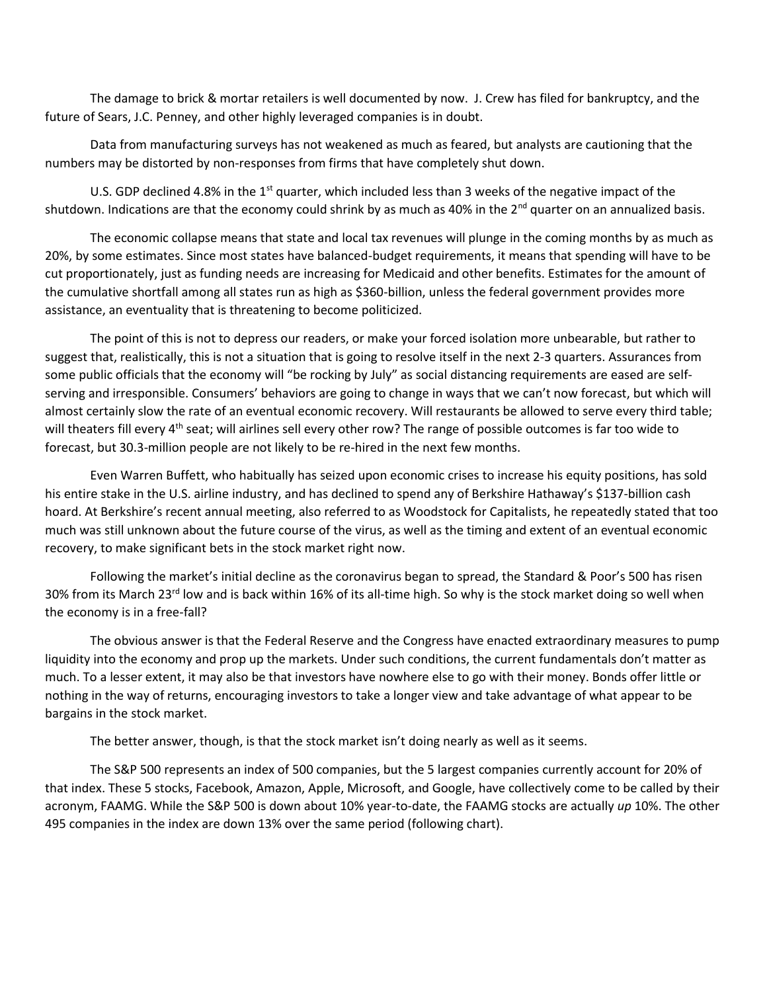The damage to brick & mortar retailers is well documented by now. J. Crew has filed for bankruptcy, and the future of Sears, J.C. Penney, and other highly leveraged companies is in doubt.

Data from manufacturing surveys has not weakened as much as feared, but analysts are cautioning that the numbers may be distorted by non-responses from firms that have completely shut down.

U.S. GDP declined 4.8% in the 1<sup>st</sup> quarter, which included less than 3 weeks of the negative impact of the shutdown. Indications are that the economy could shrink by as much as 40% in the  $2^{nd}$  quarter on an annualized basis.

The economic collapse means that state and local tax revenues will plunge in the coming months by as much as 20%, by some estimates. Since most states have balanced-budget requirements, it means that spending will have to be cut proportionately, just as funding needs are increasing for Medicaid and other benefits. Estimates for the amount of the cumulative shortfall among all states run as high as \$360-billion, unless the federal government provides more assistance, an eventuality that is threatening to become politicized.

The point of this is not to depress our readers, or make your forced isolation more unbearable, but rather to suggest that, realistically, this is not a situation that is going to resolve itself in the next 2-3 quarters. Assurances from some public officials that the economy will "be rocking by July" as social distancing requirements are eased are selfserving and irresponsible. Consumers' behaviors are going to change in ways that we can't now forecast, but which will almost certainly slow the rate of an eventual economic recovery. Will restaurants be allowed to serve every third table; will theaters fill every 4<sup>th</sup> seat; will airlines sell every other row? The range of possible outcomes is far too wide to forecast, but 30.3-million people are not likely to be re-hired in the next few months.

Even Warren Buffett, who habitually has seized upon economic crises to increase his equity positions, has sold his entire stake in the U.S. airline industry, and has declined to spend any of Berkshire Hathaway's \$137-billion cash hoard. At Berkshire's recent annual meeting, also referred to as Woodstock for Capitalists, he repeatedly stated that too much was still unknown about the future course of the virus, as well as the timing and extent of an eventual economic recovery, to make significant bets in the stock market right now.

Following the market's initial decline as the coronavirus began to spread, the Standard & Poor's 500 has risen 30% from its March 23<sup>rd</sup> low and is back within 16% of its all-time high. So why is the stock market doing so well when the economy is in a free-fall?

The obvious answer is that the Federal Reserve and the Congress have enacted extraordinary measures to pump liquidity into the economy and prop up the markets. Under such conditions, the current fundamentals don't matter as much. To a lesser extent, it may also be that investors have nowhere else to go with their money. Bonds offer little or nothing in the way of returns, encouraging investors to take a longer view and take advantage of what appear to be bargains in the stock market.

The better answer, though, is that the stock market isn't doing nearly as well as it seems.

The S&P 500 represents an index of 500 companies, but the 5 largest companies currently account for 20% of that index. These 5 stocks, Facebook, Amazon, Apple, Microsoft, and Google, have collectively come to be called by their acronym, FAAMG. While the S&P 500 is down about 10% year-to-date, the FAAMG stocks are actually *up* 10%. The other 495 companies in the index are down 13% over the same period (following chart).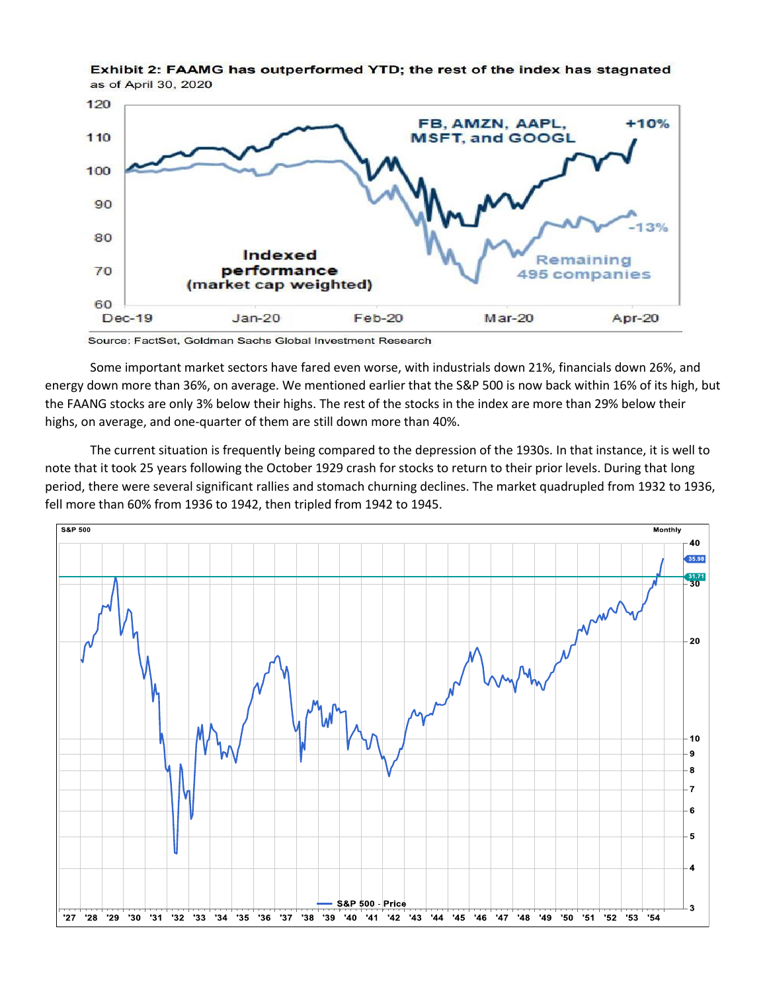

Exhibit 2: FAAMG has outperformed YTD; the rest of the index has stagnated as of April 30, 2020

Source: FactSet, Goldman Sachs Global Investment Research

Some important market sectors have fared even worse, with industrials down 21%, financials down 26%, and energy down more than 36%, on average. We mentioned earlier that the S&P 500 is now back within 16% of its high, but the FAANG stocks are only 3% below their highs. The rest of the stocks in the index are more than 29% below their highs, on average, and one-quarter of them are still down more than 40%.

The current situation is frequently being compared to the depression of the 1930s. In that instance, it is well to note that it took 25 years following the October 1929 crash for stocks to return to their prior levels. During that long period, there were several significant rallies and stomach churning declines. The market quadrupled from 1932 to 1936, fell more than 60% from 1936 to 1942, then tripled from 1942 to 1945.